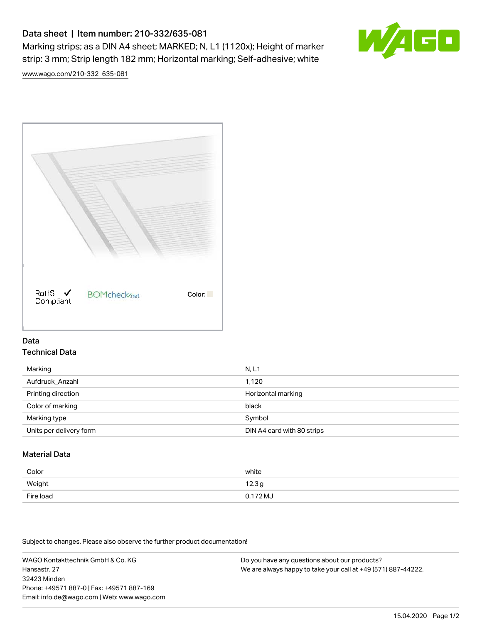# Data sheet | Item number: 210-332/635-081

Marking strips; as a DIN A4 sheet; MARKED; N, L1 (1120x); Height of marker strip: 3 mm; Strip length 182 mm; Horizontal marking; Self-adhesive; white



[www.wago.com/210-332\\_635-081](http://www.wago.com/210-332_635-081)



### Data Technical Data

| Marking                 | N, L1                      |
|-------------------------|----------------------------|
| Aufdruck_Anzahl         | 1.120                      |
| Printing direction      | Horizontal marking         |
| Color of marking        | black                      |
| Marking type            | Symbol                     |
| Units per delivery form | DIN A4 card with 80 strips |

## Material Data

| Color     | white             |
|-----------|-------------------|
| Weight    | 12.3 <sub>g</sub> |
| Fire load | $0.172 M_J$       |

Subject to changes. Please also observe the further product documentation!

WAGO Kontakttechnik GmbH & Co. KG Hansastr. 27 32423 Minden Phone: +49571 887-0 | Fax: +49571 887-169 Email: info.de@wago.com | Web: www.wago.com Do you have any questions about our products? We are always happy to take your call at +49 (571) 887-44222.